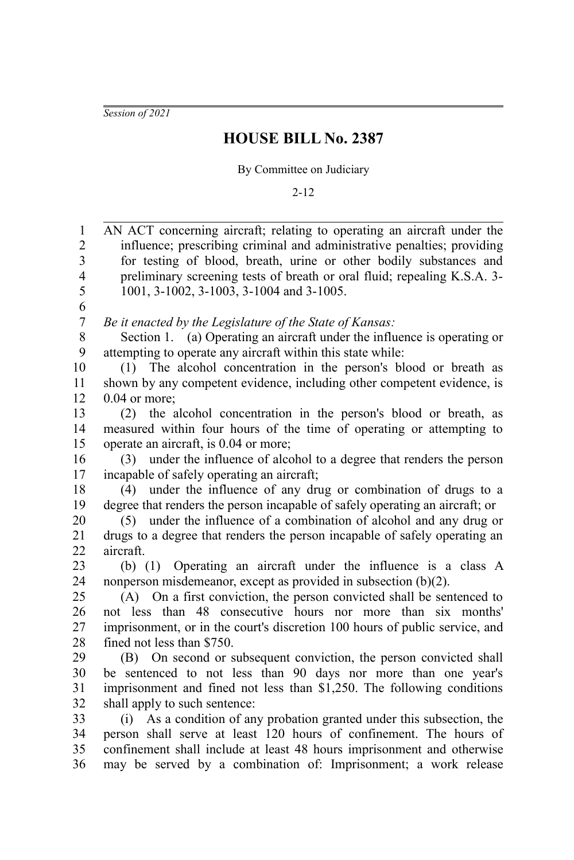*Session of 2021*

## **HOUSE BILL No. 2387**

By Committee on Judiciary

2-12

AN ACT concerning aircraft; relating to operating an aircraft under the influence; prescribing criminal and administrative penalties; providing for testing of blood, breath, urine or other bodily substances and preliminary screening tests of breath or oral fluid; repealing K.S.A. 3- 1001, 3-1002, 3-1003, 3-1004 and 3-1005. *Be it enacted by the Legislature of the State of Kansas:* Section 1. (a) Operating an aircraft under the influence is operating or attempting to operate any aircraft within this state while: (1) The alcohol concentration in the person's blood or breath as shown by any competent evidence, including other competent evidence, is 0.04 or more; (2) the alcohol concentration in the person's blood or breath, as measured within four hours of the time of operating or attempting to operate an aircraft, is 0.04 or more; (3) under the influence of alcohol to a degree that renders the person incapable of safely operating an aircraft; (4) under the influence of any drug or combination of drugs to a degree that renders the person incapable of safely operating an aircraft; or (5) under the influence of a combination of alcohol and any drug or drugs to a degree that renders the person incapable of safely operating an aircraft. (b) (1) Operating an aircraft under the influence is a class A nonperson misdemeanor, except as provided in subsection (b)(2). (A) On a first conviction, the person convicted shall be sentenced to not less than 48 consecutive hours nor more than six months' imprisonment, or in the court's discretion 100 hours of public service, and fined not less than \$750. (B) On second or subsequent conviction, the person convicted shall be sentenced to not less than 90 days nor more than one year's imprisonment and fined not less than \$1,250. The following conditions shall apply to such sentence: (i) As a condition of any probation granted under this subsection, the person shall serve at least 120 hours of confinement. The hours of confinement shall include at least 48 hours imprisonment and otherwise may be served by a combination of: Imprisonment; a work release 1 2 3 4 5 6 7 8 9 10 11 12 13 14 15 16 17 18 19 20 21 22 23 24 25 26 27 28  $29$ 30 31 32 33 34 35 36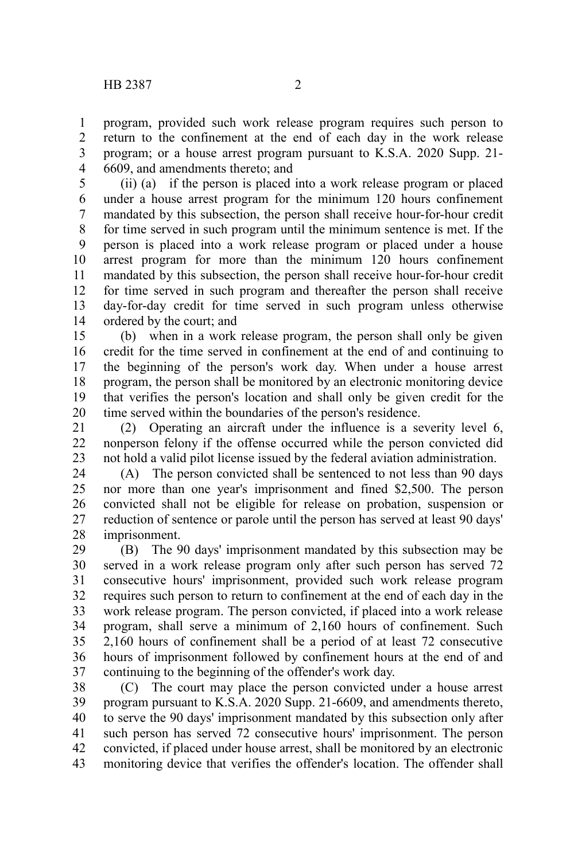program, provided such work release program requires such person to return to the confinement at the end of each day in the work release program; or a house arrest program pursuant to K.S.A. 2020 Supp. 21- 6609, and amendments thereto; and 1 2 3 4

(ii) (a) if the person is placed into a work release program or placed under a house arrest program for the minimum 120 hours confinement mandated by this subsection, the person shall receive hour-for-hour credit for time served in such program until the minimum sentence is met. If the person is placed into a work release program or placed under a house arrest program for more than the minimum 120 hours confinement mandated by this subsection, the person shall receive hour-for-hour credit for time served in such program and thereafter the person shall receive day-for-day credit for time served in such program unless otherwise ordered by the court; and 5 6 7 8 9 10 11 12 13 14

(b) when in a work release program, the person shall only be given credit for the time served in confinement at the end of and continuing to the beginning of the person's work day. When under a house arrest program, the person shall be monitored by an electronic monitoring device that verifies the person's location and shall only be given credit for the time served within the boundaries of the person's residence. 15 16 17 18 19 20

(2) Operating an aircraft under the influence is a severity level 6, nonperson felony if the offense occurred while the person convicted did not hold a valid pilot license issued by the federal aviation administration. 21 22 23

(A) The person convicted shall be sentenced to not less than 90 days nor more than one year's imprisonment and fined \$2,500. The person convicted shall not be eligible for release on probation, suspension or reduction of sentence or parole until the person has served at least 90 days' imprisonment. 24 25 26 27 28

(B) The 90 days' imprisonment mandated by this subsection may be served in a work release program only after such person has served 72 consecutive hours' imprisonment, provided such work release program requires such person to return to confinement at the end of each day in the work release program. The person convicted, if placed into a work release program, shall serve a minimum of 2,160 hours of confinement. Such 2,160 hours of confinement shall be a period of at least 72 consecutive hours of imprisonment followed by confinement hours at the end of and continuing to the beginning of the offender's work day. 29 30 31 32 33 34 35 36 37

(C) The court may place the person convicted under a house arrest program pursuant to K.S.A. 2020 Supp. 21-6609, and amendments thereto, to serve the 90 days' imprisonment mandated by this subsection only after such person has served 72 consecutive hours' imprisonment. The person convicted, if placed under house arrest, shall be monitored by an electronic monitoring device that verifies the offender's location. The offender shall 38 39 40 41 42 43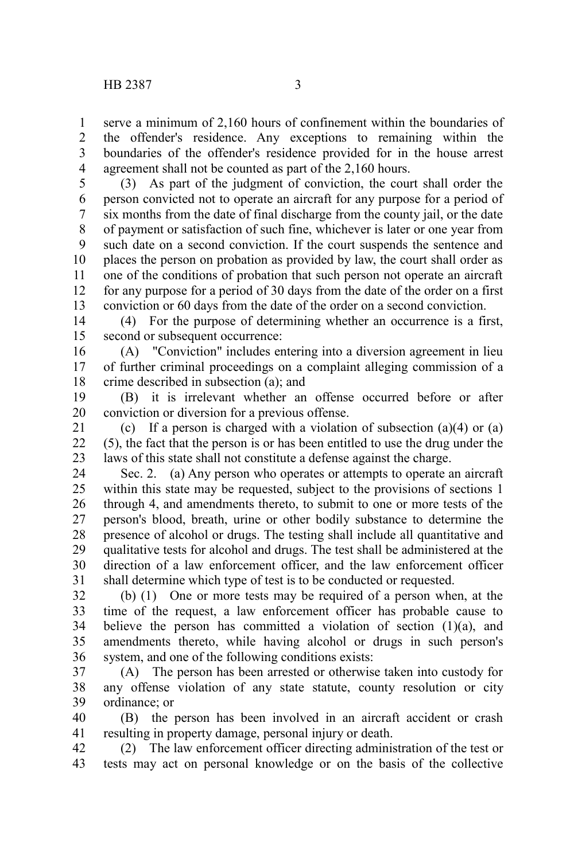serve a minimum of 2,160 hours of confinement within the boundaries of the offender's residence. Any exceptions to remaining within the boundaries of the offender's residence provided for in the house arrest agreement shall not be counted as part of the 2,160 hours. 1 2 3 4

(3) As part of the judgment of conviction, the court shall order the person convicted not to operate an aircraft for any purpose for a period of six months from the date of final discharge from the county jail, or the date of payment or satisfaction of such fine, whichever is later or one year from such date on a second conviction. If the court suspends the sentence and places the person on probation as provided by law, the court shall order as one of the conditions of probation that such person not operate an aircraft for any purpose for a period of 30 days from the date of the order on a first conviction or 60 days from the date of the order on a second conviction. 5 6 7 8 9 10 11 12 13

(4) For the purpose of determining whether an occurrence is a first, second or subsequent occurrence: 14 15

(A) "Conviction" includes entering into a diversion agreement in lieu of further criminal proceedings on a complaint alleging commission of a crime described in subsection (a); and 16 17 18

(B) it is irrelevant whether an offense occurred before or after conviction or diversion for a previous offense. 19 20

(c) If a person is charged with a violation of subsection  $(a)(4)$  or  $(a)$ (5), the fact that the person is or has been entitled to use the drug under the laws of this state shall not constitute a defense against the charge. 21  $22$ 23

Sec. 2. (a) Any person who operates or attempts to operate an aircraft within this state may be requested, subject to the provisions of sections 1 through 4, and amendments thereto, to submit to one or more tests of the person's blood, breath, urine or other bodily substance to determine the presence of alcohol or drugs. The testing shall include all quantitative and qualitative tests for alcohol and drugs. The test shall be administered at the direction of a law enforcement officer, and the law enforcement officer shall determine which type of test is to be conducted or requested. 24 25 26 27 28 29 30 31

(b) (1) One or more tests may be required of a person when, at the time of the request, a law enforcement officer has probable cause to believe the person has committed a violation of section  $(1)(a)$ , and amendments thereto, while having alcohol or drugs in such person's system, and one of the following conditions exists: 32 33 34 35 36

(A) The person has been arrested or otherwise taken into custody for any offense violation of any state statute, county resolution or city ordinance; or 37 38 39

(B) the person has been involved in an aircraft accident or crash resulting in property damage, personal injury or death. 40 41

(2) The law enforcement officer directing administration of the test or tests may act on personal knowledge or on the basis of the collective 42 43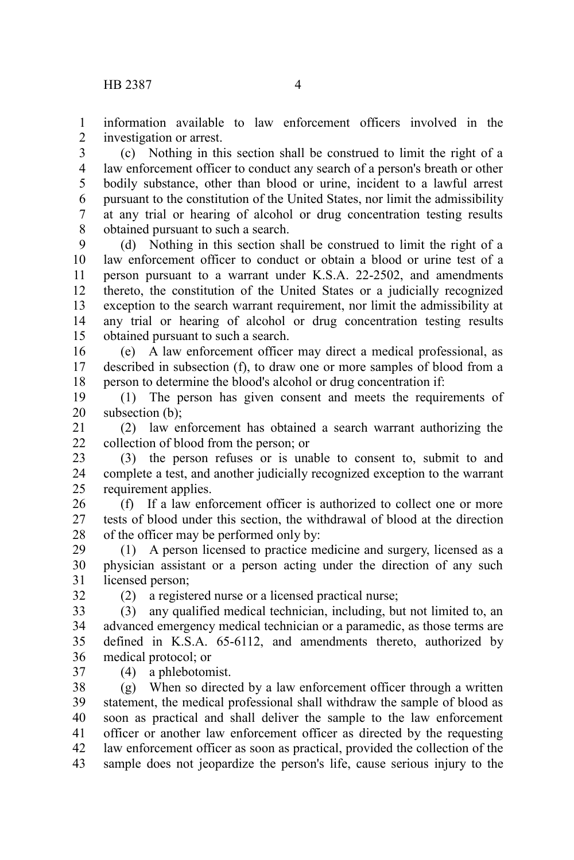information available to law enforcement officers involved in the investigation or arrest. 1 2

(c) Nothing in this section shall be construed to limit the right of a law enforcement officer to conduct any search of a person's breath or other bodily substance, other than blood or urine, incident to a lawful arrest pursuant to the constitution of the United States, nor limit the admissibility at any trial or hearing of alcohol or drug concentration testing results obtained pursuant to such a search. 3 4 5 6 7 8

(d) Nothing in this section shall be construed to limit the right of a law enforcement officer to conduct or obtain a blood or urine test of a person pursuant to a warrant under K.S.A. 22-2502, and amendments thereto, the constitution of the United States or a judicially recognized exception to the search warrant requirement, nor limit the admissibility at any trial or hearing of alcohol or drug concentration testing results obtained pursuant to such a search. 9 10 11 12 13 14 15

(e) A law enforcement officer may direct a medical professional, as described in subsection (f), to draw one or more samples of blood from a person to determine the blood's alcohol or drug concentration if: 16 17 18

(1) The person has given consent and meets the requirements of subsection (b): 19 20

(2) law enforcement has obtained a search warrant authorizing the collection of blood from the person; or 21  $22$ 

(3) the person refuses or is unable to consent to, submit to and complete a test, and another judicially recognized exception to the warrant requirement applies. 23 24 25

(f) If a law enforcement officer is authorized to collect one or more tests of blood under this section, the withdrawal of blood at the direction of the officer may be performed only by: 26 27 28

(1) A person licensed to practice medicine and surgery, licensed as a physician assistant or a person acting under the direction of any such licensed person; 29 30 31

32

(2) a registered nurse or a licensed practical nurse;

(3) any qualified medical technician, including, but not limited to, an advanced emergency medical technician or a paramedic, as those terms are defined in K.S.A. 65-6112, and amendments thereto, authorized by medical protocol; or 33 34 35 36 37

(4) a phlebotomist.

(g) When so directed by a law enforcement officer through a written statement, the medical professional shall withdraw the sample of blood as soon as practical and shall deliver the sample to the law enforcement officer or another law enforcement officer as directed by the requesting law enforcement officer as soon as practical, provided the collection of the sample does not jeopardize the person's life, cause serious injury to the 38 39 40 41 42 43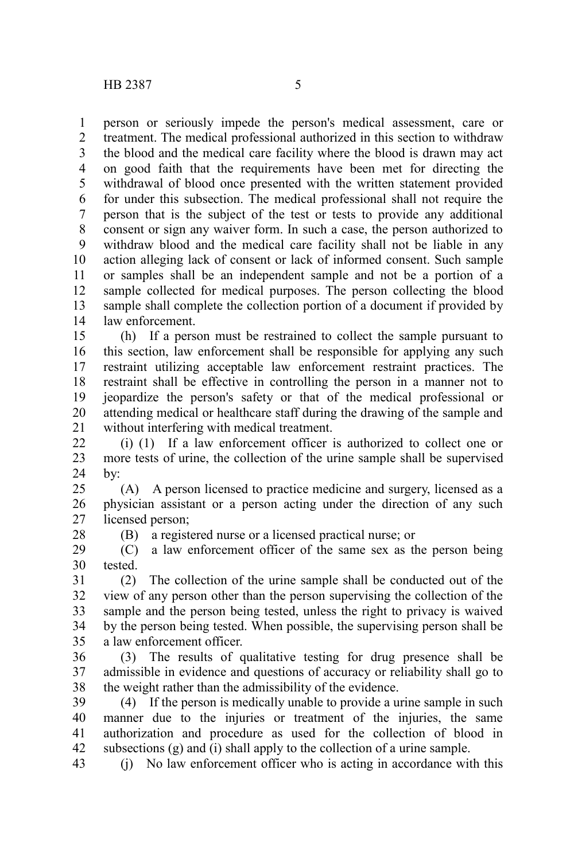28

person or seriously impede the person's medical assessment, care or treatment. The medical professional authorized in this section to withdraw the blood and the medical care facility where the blood is drawn may act on good faith that the requirements have been met for directing the withdrawal of blood once presented with the written statement provided for under this subsection. The medical professional shall not require the person that is the subject of the test or tests to provide any additional consent or sign any waiver form. In such a case, the person authorized to withdraw blood and the medical care facility shall not be liable in any action alleging lack of consent or lack of informed consent. Such sample or samples shall be an independent sample and not be a portion of a sample collected for medical purposes. The person collecting the blood sample shall complete the collection portion of a document if provided by law enforcement. 1 2 3 4 5 6 7 8 9 10 11 12 13 14

(h) If a person must be restrained to collect the sample pursuant to this section, law enforcement shall be responsible for applying any such restraint utilizing acceptable law enforcement restraint practices. The restraint shall be effective in controlling the person in a manner not to jeopardize the person's safety or that of the medical professional or attending medical or healthcare staff during the drawing of the sample and without interfering with medical treatment. 15 16 17 18 19 20 21

(i) (1) If a law enforcement officer is authorized to collect one or more tests of urine, the collection of the urine sample shall be supervised by: 22 23 24

(A) A person licensed to practice medicine and surgery, licensed as a physician assistant or a person acting under the direction of any such licensed person; 25 26 27

(B) a registered nurse or a licensed practical nurse; or

(C) a law enforcement officer of the same sex as the person being tested. 29 30

(2) The collection of the urine sample shall be conducted out of the view of any person other than the person supervising the collection of the sample and the person being tested, unless the right to privacy is waived by the person being tested. When possible, the supervising person shall be a law enforcement officer. 31 32 33 34 35

(3) The results of qualitative testing for drug presence shall be admissible in evidence and questions of accuracy or reliability shall go to the weight rather than the admissibility of the evidence. 36 37 38

(4) If the person is medically unable to provide a urine sample in such manner due to the injuries or treatment of the injuries, the same authorization and procedure as used for the collection of blood in subsections (g) and (i) shall apply to the collection of a urine sample. 39 40 41 42

(j) No law enforcement officer who is acting in accordance with this 43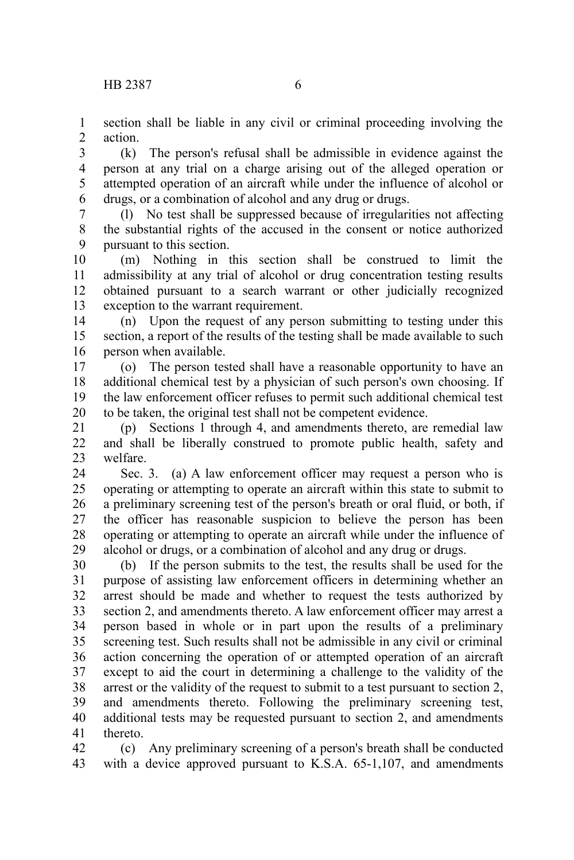section shall be liable in any civil or criminal proceeding involving the action. 1 2

(k) The person's refusal shall be admissible in evidence against the person at any trial on a charge arising out of the alleged operation or attempted operation of an aircraft while under the influence of alcohol or drugs, or a combination of alcohol and any drug or drugs. 3 4 5 6

(l) No test shall be suppressed because of irregularities not affecting the substantial rights of the accused in the consent or notice authorized pursuant to this section. 7 8 9

(m) Nothing in this section shall be construed to limit the admissibility at any trial of alcohol or drug concentration testing results obtained pursuant to a search warrant or other judicially recognized exception to the warrant requirement. 10 11 12 13

(n) Upon the request of any person submitting to testing under this section, a report of the results of the testing shall be made available to such person when available. 14 15 16

(o) The person tested shall have a reasonable opportunity to have an additional chemical test by a physician of such person's own choosing. If the law enforcement officer refuses to permit such additional chemical test to be taken, the original test shall not be competent evidence. 17 18 19 20

(p) Sections 1 through 4, and amendments thereto, are remedial law and shall be liberally construed to promote public health, safety and welfare. 21 22 23

Sec. 3. (a) A law enforcement officer may request a person who is operating or attempting to operate an aircraft within this state to submit to a preliminary screening test of the person's breath or oral fluid, or both, if the officer has reasonable suspicion to believe the person has been operating or attempting to operate an aircraft while under the influence of alcohol or drugs, or a combination of alcohol and any drug or drugs. 24 25 26 27 28 29

(b) If the person submits to the test, the results shall be used for the purpose of assisting law enforcement officers in determining whether an arrest should be made and whether to request the tests authorized by section 2, and amendments thereto. A law enforcement officer may arrest a person based in whole or in part upon the results of a preliminary screening test. Such results shall not be admissible in any civil or criminal action concerning the operation of or attempted operation of an aircraft except to aid the court in determining a challenge to the validity of the arrest or the validity of the request to submit to a test pursuant to section 2, and amendments thereto. Following the preliminary screening test, additional tests may be requested pursuant to section 2, and amendments thereto. 30 31 32 33 34 35 36 37 38 39 40 41

(c) Any preliminary screening of a person's breath shall be conducted with a device approved pursuant to K.S.A. 65-1,107, and amendments 42 43